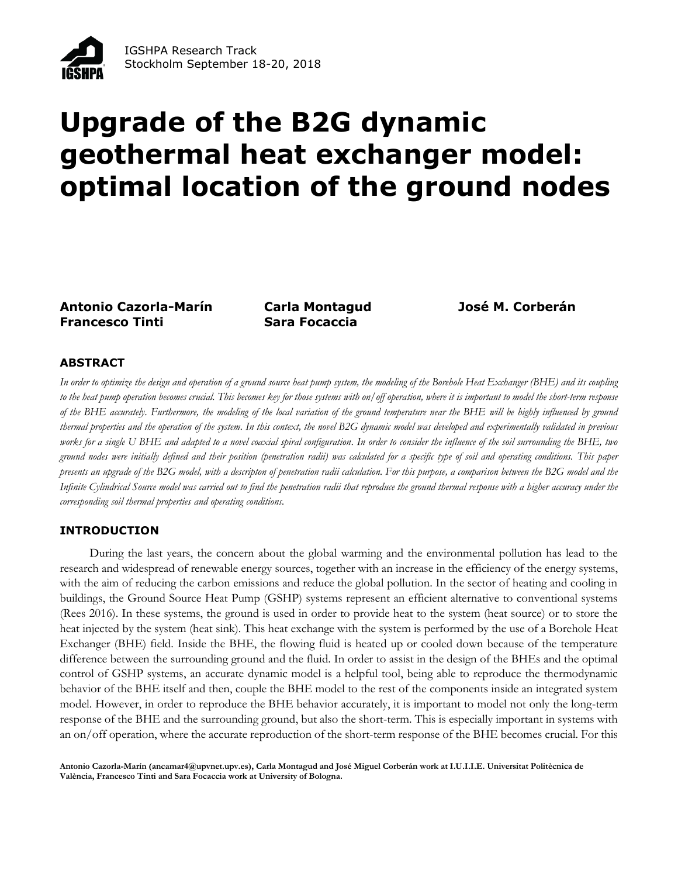

# **Upgrade of the B2G dynamic geothermal heat exchanger model: optimal location of the ground nodes**

**Antonio Cazorla-Marín Carla Montagud José M. Corberán Francesco Tinti Sara Focaccia**

# **ABSTRACT**

*In order to optimize the design and operation of a ground source heat pump system, the modeling of the Borehole Heat Exchanger (BHE) and its coupling to the heat pump operation becomes crucial. This becomes key for those systems with on/off operation, where it is important to model the short-term response of the BHE accurately. Furthermore, the modeling of the local variation of the ground temperature near the BHE will be highly influenced by ground thermal properties and the operation of the system. In this context, the novel B2G dynamic model was developed and experimentally validated in previous*  works for a single U BHE and adapted to a novel coaxial spiral configuration. In order to consider the influence of the soil surrounding the BHE, two *ground nodes were initially defined and their position (penetration radii) was calculated for a specific type of soil and operating conditions. This paper presents an upgrade of the B2G model, with a descripton of penetration radii calculation. For this purpose, a comparison between the B2G model and the*  Infinite Cylindrical Source model was carried out to find the penetration radii that reproduce the ground thermal response with a higher accuracy under the *corresponding soil thermal properties and operating conditions.*

# **INTRODUCTION**

During the last years, the concern about the global warming and the environmental pollution has lead to the research and widespread of renewable energy sources, together with an increase in the efficiency of the energy systems, with the aim of reducing the carbon emissions and reduce the global pollution. In the sector of heating and cooling in buildings, the Ground Source Heat Pump (GSHP) systems represent an efficient alternative to conventional systems (Rees 2016). In these systems, the ground is used in order to provide heat to the system (heat source) or to store the heat injected by the system (heat sink). This heat exchange with the system is performed by the use of a Borehole Heat Exchanger (BHE) field. Inside the BHE, the flowing fluid is heated up or cooled down because of the temperature difference between the surrounding ground and the fluid. In order to assist in the design of the BHEs and the optimal control of GSHP systems, an accurate dynamic model is a helpful tool, being able to reproduce the thermodynamic behavior of the BHE itself and then, couple the BHE model to the rest of the components inside an integrated system model. However, in order to reproduce the BHE behavior accurately, it is important to model not only the long-term response of the BHE and the surrounding ground, but also the short-term. This is especially important in systems with an on/off operation, where the accurate reproduction of the short-term response of the BHE becomes crucial. For this

**Antonio Cazorla-Marín (ancamar4@upvnet.upv.es), Carla Montagud and José Miguel Corberán work at I.U.I.I.E. Universitat Politècnica de València, Francesco Tinti and Sara Focaccia work at University of Bologna.**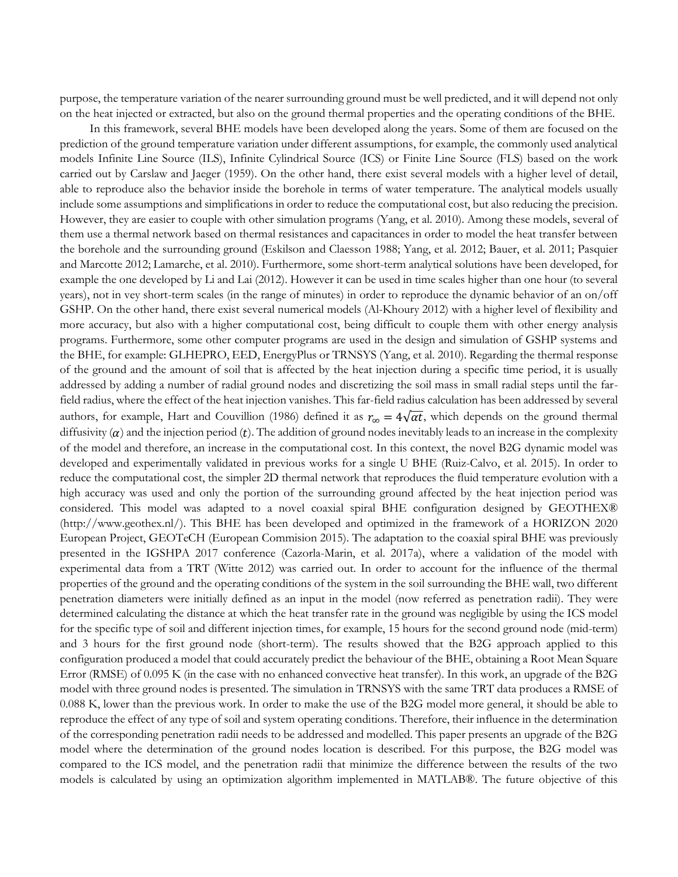purpose, the temperature variation of the nearer surrounding ground must be well predicted, and it will depend not only on the heat injected or extracted, but also on the ground thermal properties and the operating conditions of the BHE.

In this framework, several BHE models have been developed along the years. Some of them are focused on the prediction of the ground temperature variation under different assumptions, for example, the commonly used analytical models Infinite Line Source (ILS), Infinite Cylindrical Source (ICS) or Finite Line Source (FLS) based on the work carried out by Carslaw and Jaeger (1959). On the other hand, there exist several models with a higher level of detail, able to reproduce also the behavior inside the borehole in terms of water temperature. The analytical models usually include some assumptions and simplifications in order to reduce the computational cost, but also reducing the precision. However, they are easier to couple with other simulation programs (Yang, et al. 2010). Among these models, several of them use a thermal network based on thermal resistances and capacitances in order to model the heat transfer between the borehole and the surrounding ground (Eskilson and Claesson 1988; Yang, et al. 2012; Bauer, et al. 2011; Pasquier and Marcotte 2012; Lamarche, et al. 2010). Furthermore, some short-term analytical solutions have been developed, for example the one developed by Li and Lai (2012). However it can be used in time scales higher than one hour (to several years), not in vey short-term scales (in the range of minutes) in order to reproduce the dynamic behavior of an on/off GSHP. On the other hand, there exist several numerical models (Al-Khoury 2012) with a higher level of flexibility and more accuracy, but also with a higher computational cost, being difficult to couple them with other energy analysis programs. Furthermore, some other computer programs are used in the design and simulation of GSHP systems and the BHE, for example: GLHEPRO, EED, EnergyPlus or TRNSYS (Yang, et al. 2010). Regarding the thermal response of the ground and the amount of soil that is affected by the heat injection during a specific time period, it is usually addressed by adding a number of radial ground nodes and discretizing the soil mass in small radial steps until the farfield radius, where the effect of the heat injection vanishes. This far-field radius calculation has been addressed by several authors, for example, Hart and Couvillion (1986) defined it as  $r_{\infty} = 4\sqrt{\alpha t}$ , which depends on the ground thermal diffusivity  $(\alpha)$  and the injection period  $(t)$ . The addition of ground nodes inevitably leads to an increase in the complexity of the model and therefore, an increase in the computational cost. In this context, the novel B2G dynamic model was developed and experimentally validated in previous works for a single U BHE (Ruiz-Calvo, et al. 2015). In order to reduce the computational cost, the simpler 2D thermal network that reproduces the fluid temperature evolution with a high accuracy was used and only the portion of the surrounding ground affected by the heat injection period was considered. This model was adapted to a novel coaxial spiral BHE configuration designed by GEOTHEX® (http://www.geothex.nl/). This BHE has been developed and optimized in the framework of a HORIZON 2020 European Project, GEOTeCH (European Commision 2015). The adaptation to the coaxial spiral BHE was previously presented in the IGSHPA 2017 conference (Cazorla-Marin, et al. 2017a), where a validation of the model with experimental data from a TRT (Witte 2012) was carried out. In order to account for the influence of the thermal properties of the ground and the operating conditions of the system in the soil surrounding the BHE wall, two different penetration diameters were initially defined as an input in the model (now referred as penetration radii). They were determined calculating the distance at which the heat transfer rate in the ground was negligible by using the ICS model for the specific type of soil and different injection times, for example, 15 hours for the second ground node (mid-term) and 3 hours for the first ground node (short-term). The results showed that the B2G approach applied to this configuration produced a model that could accurately predict the behaviour of the BHE, obtaining a Root Mean Square Error (RMSE) of 0.095 K (in the case with no enhanced convective heat transfer). In this work, an upgrade of the B2G model with three ground nodes is presented. The simulation in TRNSYS with the same TRT data produces a RMSE of 0.088 K, lower than the previous work. In order to make the use of the B2G model more general, it should be able to reproduce the effect of any type of soil and system operating conditions. Therefore, their influence in the determination of the corresponding penetration radii needs to be addressed and modelled. This paper presents an upgrade of the B2G model where the determination of the ground nodes location is described. For this purpose, the B2G model was compared to the ICS model, and the penetration radii that minimize the difference between the results of the two models is calculated by using an optimization algorithm implemented in MATLAB®. The future objective of this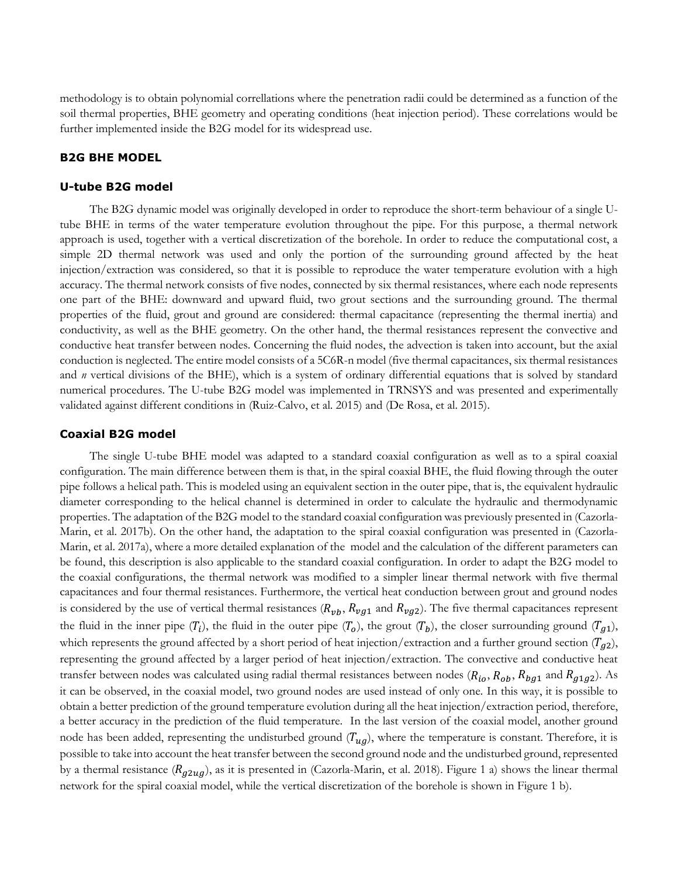methodology is to obtain polynomial correllations where the penetration radii could be determined as a function of the soil thermal properties, BHE geometry and operating conditions (heat injection period). These correlations would be further implemented inside the B2G model for its widespread use.

#### **B2G BHE MODEL**

#### **U-tube B2G model**

The B2G dynamic model was originally developed in order to reproduce the short-term behaviour of a single Utube BHE in terms of the water temperature evolution throughout the pipe. For this purpose, a thermal network approach is used, together with a vertical discretization of the borehole. In order to reduce the computational cost, a simple 2D thermal network was used and only the portion of the surrounding ground affected by the heat injection/extraction was considered, so that it is possible to reproduce the water temperature evolution with a high accuracy. The thermal network consists of five nodes, connected by six thermal resistances, where each node represents one part of the BHE: downward and upward fluid, two grout sections and the surrounding ground. The thermal properties of the fluid, grout and ground are considered: thermal capacitance (representing the thermal inertia) and conductivity, as well as the BHE geometry. On the other hand, the thermal resistances represent the convective and conductive heat transfer between nodes. Concerning the fluid nodes, the advection is taken into account, but the axial conduction is neglected. The entire model consists of a 5C6R-n model (five thermal capacitances, six thermal resistances and *n* vertical divisions of the BHE), which is a system of ordinary differential equations that is solved by standard numerical procedures. The U-tube B2G model was implemented in TRNSYS and was presented and experimentally validated against different conditions in (Ruiz-Calvo, et al. 2015) and (De Rosa, et al. 2015).

#### **Coaxial B2G model**

The single U-tube BHE model was adapted to a standard coaxial configuration as well as to a spiral coaxial configuration. The main difference between them is that, in the spiral coaxial BHE, the fluid flowing through the outer pipe follows a helical path. This is modeled using an equivalent section in the outer pipe, that is, the equivalent hydraulic diameter corresponding to the helical channel is determined in order to calculate the hydraulic and thermodynamic properties. The adaptation of the B2G model to the standard coaxial configuration was previously presented in (Cazorla-Marin, et al. 2017b). On the other hand, the adaptation to the spiral coaxial configuration was presented in (Cazorla-Marin, et al. 2017a), where a more detailed explanation of the model and the calculation of the different parameters can be found, this description is also applicable to the standard coaxial configuration. In order to adapt the B2G model to the coaxial configurations, the thermal network was modified to a simpler linear thermal network with five thermal capacitances and four thermal resistances. Furthermore, the vertical heat conduction between grout and ground nodes is considered by the use of vertical thermal resistances ( $R_{vb}$ ,  $R_{vg1}$  and  $R_{vg2}$ ). The five thermal capacitances represent the fluid in the inner pipe  $(T_i)$ , the fluid in the outer pipe  $(T_o)$ , the grout  $(T_b)$ , the closer surrounding ground  $(T_{g1})$ , which represents the ground affected by a short period of heat injection/extraction and a further ground section  $(T_{q2})$ , representing the ground affected by a larger period of heat injection/extraction. The convective and conductive heat transfer between nodes was calculated using radial thermal resistances between nodes ( $R_{io}$ ,  $R_{oh}$ ,  $R_{bq1}$  and  $R_{q1q2}$ ). As it can be observed, in the coaxial model, two ground nodes are used instead of only one. In this way, it is possible to obtain a better prediction of the ground temperature evolution during all the heat injection/extraction period, therefore, a better accuracy in the prediction of the fluid temperature. In the last version of the coaxial model, another ground node has been added, representing the undisturbed ground  $(T_{ua})$ , where the temperature is constant. Therefore, it is possible to take into account the heat transfer between the second ground node and the undisturbed ground, represented by a thermal resistance ( $R_{g2ug}$ ), as it is presented in (Cazorla-Marin, et al. 2018). [Figure 1](#page-3-0) a) shows the linear thermal network for the spiral coaxial model, while the vertical discretization of the borehole is shown in [Figure 1](#page-3-0) b).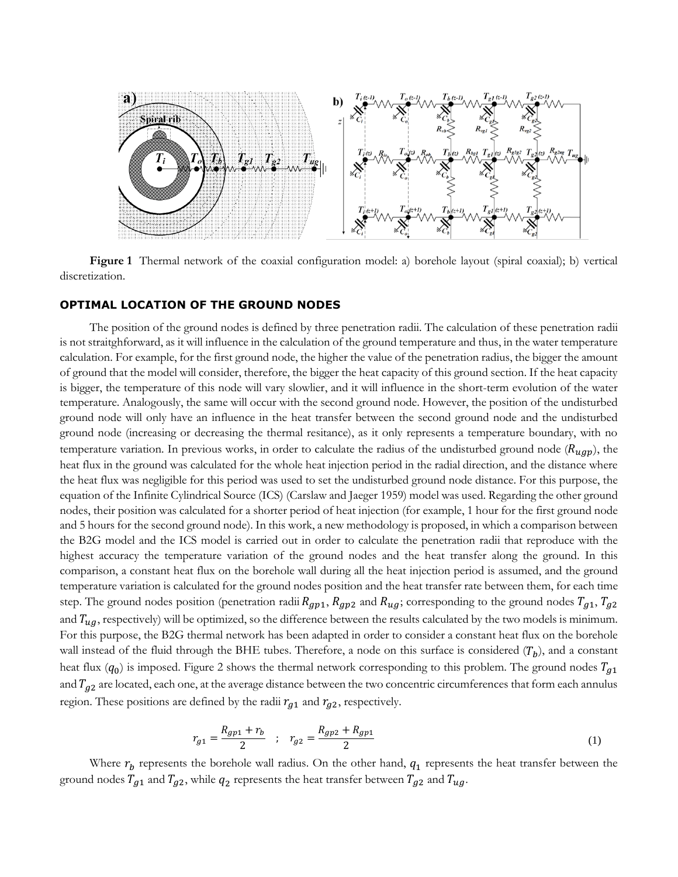

<span id="page-3-0"></span>**Figure 1** Thermal network of the coaxial configuration model: a) borehole layout (spiral coaxial); b) vertical discretization.

#### **OPTIMAL LOCATION OF THE GROUND NODES**

The position of the ground nodes is defined by three penetration radii. The calculation of these penetration radii is not straitghforward, as it will influence in the calculation of the ground temperature and thus, in the water temperature calculation. For example, for the first ground node, the higher the value of the penetration radius, the bigger the amount of ground that the model will consider, therefore, the bigger the heat capacity of this ground section. If the heat capacity is bigger, the temperature of this node will vary slowlier, and it will influence in the short-term evolution of the water temperature. Analogously, the same will occur with the second ground node. However, the position of the undisturbed ground node will only have an influence in the heat transfer between the second ground node and the undisturbed ground node (increasing or decreasing the thermal resitance), as it only represents a temperature boundary, with no temperature variation. In previous works, in order to calculate the radius of the undisturbed ground node ( $R_{ugp}$ ), the heat flux in the ground was calculated for the whole heat injection period in the radial direction, and the distance where the heat flux was negligible for this period was used to set the undisturbed ground node distance. For this purpose, the equation of the Infinite Cylindrical Source (ICS) (Carslaw and Jaeger 1959) model was used. Regarding the other ground nodes, their position was calculated for a shorter period of heat injection (for example, 1 hour for the first ground node and 5 hours for the second ground node). In this work, a new methodology is proposed, in which a comparison between the B2G model and the ICS model is carried out in order to calculate the penetration radii that reproduce with the highest accuracy the temperature variation of the ground nodes and the heat transfer along the ground. In this comparison, a constant heat flux on the borehole wall during all the heat injection period is assumed, and the ground temperature variation is calculated for the ground nodes position and the heat transfer rate between them, for each time step. The ground nodes position (penetration radii  $R_{gp1}$ ,  $R_{gp2}$  and  $R_{ug}$ ; corresponding to the ground nodes  $T_{g1}$ ,  $T_{g2}$ and  $T_{uq}$ , respectively) will be optimized, so the difference between the results calculated by the two models is minimum. For this purpose, the B2G thermal network has been adapted in order to consider a constant heat flux on the borehole wall instead of the fluid through the BHE tubes. Therefore, a node on this surface is considered  $(T_b)$ , and a constant heat flux  $(q_0)$  is imposed. [Figure 2](#page-4-0) shows the thermal network corresponding to this problem. The ground nodes  $T_{g1}$ and  $T_{g2}$  are located, each one, at the average distance between the two concentric circumferences that form each annulus region. These positions are defined by the radii  $r_{q1}$  and  $r_{q2}$ , respectively.

$$
r_{g1} = \frac{R_{gp1} + r_b}{2} \quad ; \quad r_{g2} = \frac{R_{gp2} + R_{gp1}}{2} \tag{1}
$$

Where  $r_b$  represents the borehole wall radius. On the other hand,  $q_1$  represents the heat transfer between the ground nodes  $T_{g1}$  and  $T_{g2}$ , while  $q_2$  represents the heat transfer between  $T_{g2}$  and  $T_{ug}.$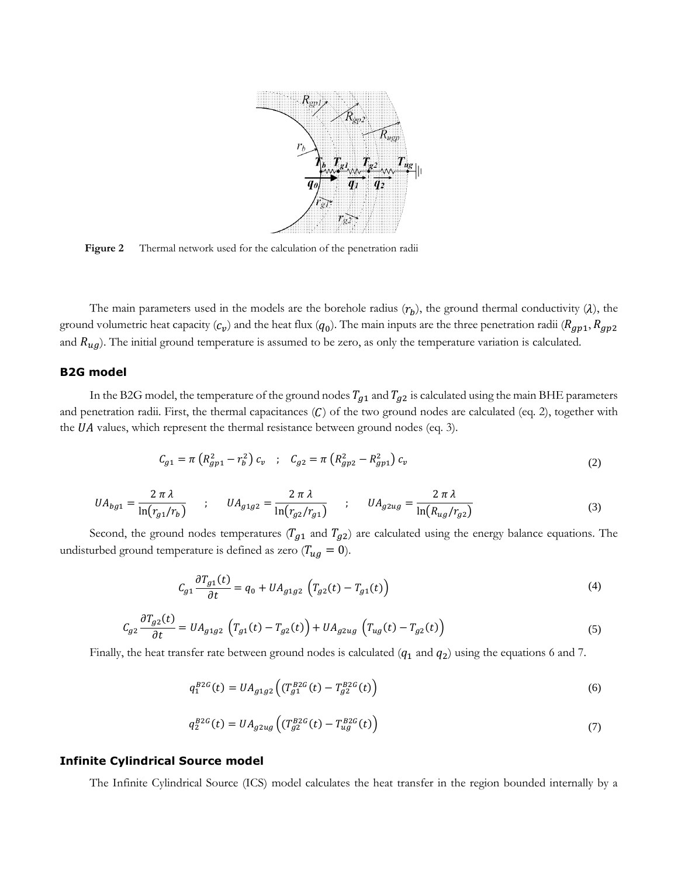

<span id="page-4-0"></span>Figure 2 Thermal network used for the calculation of the penetration radii

The main parameters used in the models are the borehole radius  $(r_b)$ , the ground thermal conductivity ( $\lambda$ ), the ground volumetric heat capacity  $(c_p)$  and the heat flux  $(q_0)$ . The main inputs are the three penetration radii  $(R_{gp1}, R_{gp2}$ and  $R_{ug}$ ). The initial ground temperature is assumed to be zero, as only the temperature variation is calculated.

# **B2G model**

In the B2G model, the temperature of the ground nodes  $T_{g1}$  and  $T_{g2}$  is calculated using the main BHE parameters and penetration radii. First, the thermal capacitances  $(C)$  of the two ground nodes are calculated (eq. 2), together with the  $UA$  values, which represent the thermal resistance between ground nodes (eq. 3).

$$
C_{g1} = \pi \left( R_{gp1}^2 - r_b^2 \right) c_v \quad ; \quad C_{g2} = \pi \left( R_{gp2}^2 - R_{gp1}^2 \right) c_v \tag{2}
$$

$$
UA_{bg1} = \frac{2 \pi \lambda}{\ln(r_{g1}/r_b)} \qquad ; \qquad UA_{g1g2} = \frac{2 \pi \lambda}{\ln(r_{g2}/r_{g1})} \qquad ; \qquad UA_{g2ug} = \frac{2 \pi \lambda}{\ln(R_{ug}/r_{g2})} \tag{3}
$$

Second, the ground nodes temperatures ( $T_{g1}$  and  $T_{g2}$ ) are calculated using the energy balance equations. The undisturbed ground temperature is defined as zero ( $T_{ug} = 0$ ).

$$
C_{g1} \frac{\partial T_{g1}(t)}{\partial t} = q_0 + U A_{g1g2} \left( T_{g2}(t) - T_{g1}(t) \right)
$$
\n(4)

$$
C_{g2} \frac{\partial T_{g2}(t)}{\partial t} = U A_{g1g2} \left( T_{g1}(t) - T_{g2}(t) \right) + U A_{g2ug} \left( T_{ug}(t) - T_{g2}(t) \right)
$$
(5)

Finally, the heat transfer rate between ground nodes is calculated  $(q_1$  and  $q_2)$  using the equations 6 and 7.

$$
q_1^{B2G}(t) = U A_{g1g2} \left( (T_{g1}^{B2G}(t) - T_{g2}^{B2G}(t)) \right)
$$
 (6)

$$
q_2^{B2G}(t) = UA_{g2ug}\left((T_{g2}^{B2G}(t) - T_{ug}^{B2G}(t)\right) \tag{7}
$$

#### **Infinite Cylindrical Source model**

The Infinite Cylindrical Source (ICS) model calculates the heat transfer in the region bounded internally by a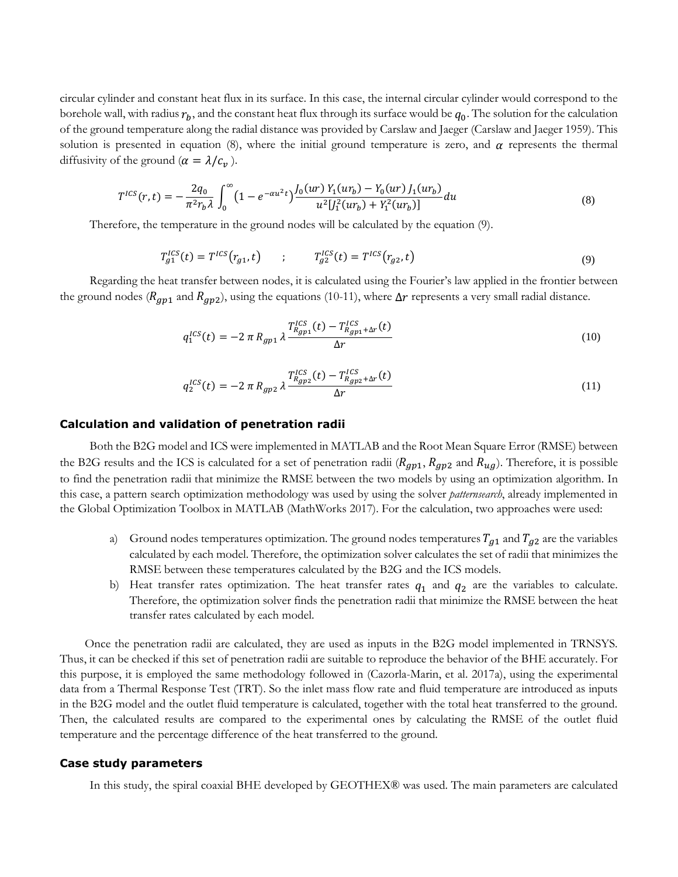circular cylinder and constant heat flux in its surface. In this case, the internal circular cylinder would correspond to the borehole wall, with radius  $r_b$ , and the constant heat flux through its surface would be  $q_0$ . The solution for the calculation of the ground temperature along the radial distance was provided by Carslaw and Jaeger (Carslaw and Jaeger 1959). This solution is presented in equation (8), where the initial ground temperature is zero, and  $\alpha$  represents the thermal diffusivity of the ground  $(\alpha = \lambda/c_v)$ .

$$
T^{ICS}(r,t) = -\frac{2q_0}{\pi^2 r_b \lambda} \int_0^\infty (1 - e^{-\alpha u^2 t}) \frac{J_0(ur) Y_1(ur_b) - Y_0(ur) J_1(ur_b)}{u^2 [J_1^2(ur_b) + Y_1^2(ur_b)]} du \tag{8}
$$

Therefore, the temperature in the ground nodes will be calculated by the equation (9).

$$
T_{g1}^{ICS}(t) = T^{ICS}(r_{g1}, t) \qquad ; \qquad T_{g2}^{ICS}(t) = T^{ICS}(r_{g2}, t) \tag{9}
$$

Regarding the heat transfer between nodes, it is calculated using the Fourier's law applied in the frontier between the ground nodes ( $R_{gp1}$  and  $R_{gp2}$ ), using the equations (10-11), where  $\Delta r$  represents a very small radial distance.

$$
q_1^{ICS}(t) = -2 \pi R_{gp1} \lambda \frac{T_{R_{gp1}}^{ICS}(t) - T_{R_{gp1} + \Delta r}^{ICS}(t)}{\Delta r}
$$
 (10)

$$
q_2^{ICS}(t) = -2 \pi R_{gp2} \lambda \frac{T_{R_{gp2}}^{ICS}(t) - T_{R_{gp2} + \Delta r}^{ICS}(t)}{\Delta r}
$$
 (11)

## **Calculation and validation of penetration radii**

Both the B2G model and ICS were implemented in MATLAB and the Root Mean Square Error (RMSE) between the B2G results and the ICS is calculated for a set of penetration radii ( $R_{gp1}$ ,  $R_{gp2}$  and  $R_{ug}$ ). Therefore, it is possible to find the penetration radii that minimize the RMSE between the two models by using an optimization algorithm. In this case, a pattern search optimization methodology was used by using the solver *patternsearch*, already implemented in the Global Optimization Toolbox in MATLAB (MathWorks 2017). For the calculation, two approaches were used:

- a) Ground nodes temperatures optimization. The ground nodes temperatures  $T_{g1}$  and  $T_{g2}$  are the variables calculated by each model. Therefore, the optimization solver calculates the set of radii that minimizes the RMSE between these temperatures calculated by the B2G and the ICS models.
- b) Heat transfer rates optimization. The heat transfer rates  $q_1$  and  $q_2$  are the variables to calculate. Therefore, the optimization solver finds the penetration radii that minimize the RMSE between the heat transfer rates calculated by each model.

Once the penetration radii are calculated, they are used as inputs in the B2G model implemented in TRNSYS. Thus, it can be checked if this set of penetration radii are suitable to reproduce the behavior of the BHE accurately. For this purpose, it is employed the same methodology followed in (Cazorla-Marin, et al. 2017a), using the experimental data from a Thermal Response Test (TRT). So the inlet mass flow rate and fluid temperature are introduced as inputs in the B2G model and the outlet fluid temperature is calculated, together with the total heat transferred to the ground. Then, the calculated results are compared to the experimental ones by calculating the RMSE of the outlet fluid temperature and the percentage difference of the heat transferred to the ground.

#### **Case study parameters**

In this study, the spiral coaxial BHE developed by GEOTHEX® was used. The main parameters are calculated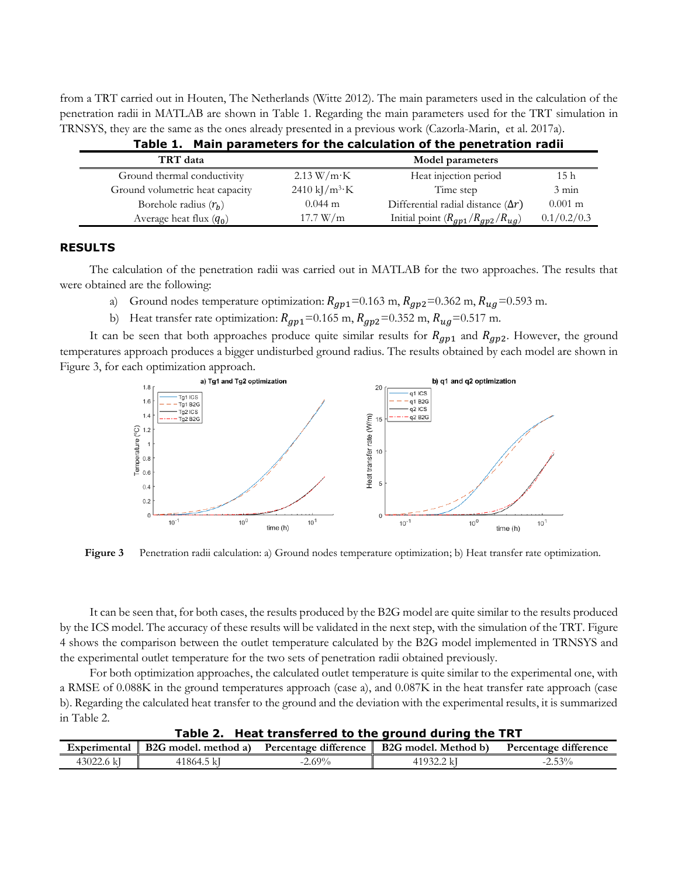from a TRT carried out in Houten, The Netherlands (Witte 2012). The main parameters used in the calculation of the penetration radii in MATLAB are shown in [Table 1.](#page-6-0) Regarding the main parameters used for the TRT simulation in TRNSYS, they are the same as the ones already presented in a previous work (Cazorla-Marin, et al. 2017a).

<span id="page-6-0"></span>

| rable 1. Finally parameters for the calculation of the penetration radii |                                      |                                           |                   |  |  |
|--------------------------------------------------------------------------|--------------------------------------|-------------------------------------------|-------------------|--|--|
| TRT data                                                                 |                                      | Model parameters                          |                   |  |  |
| Ground thermal conductivity                                              | $2.13 W/m \cdot K$                   | Heat injection period                     | 15 <sub>h</sub>   |  |  |
| Ground volumetric heat capacity                                          | $2410 \text{ kJ/m}^3 \cdot \text{K}$ | Time step                                 | $3 \text{ min}$   |  |  |
| Borehole radius $(r_h)$                                                  | $0.044 \text{ m}$                    | Differential radial distance $(\Delta r)$ | $0.001 \text{ m}$ |  |  |
| Average heat flux $(q_0)$                                                | 17.7 W/m                             | Initial point $(R_{gp1}/R_{gp2}/R_{ug})$  | 0.1/0.2/0.3       |  |  |

# **Table 1. Main parameters for the calculation of the penetration radii**

#### **RESULTS**

The calculation of the penetration radii was carried out in MATLAB for the two approaches. The results that were obtained are the following:

- a) Ground nodes temperature optimization:  $R_{gp1}$ =0.163 m,  $R_{gp2}$ =0.362 m,  $R_{ug}$ =0.593 m.
- b) Heat transfer rate optimization:  $R_{gp1}$ =0.165 m,  $R_{gp2}$ =0.352 m,  $R_{ug}$ =0.517 m.

It can be seen that both approaches produce quite similar results for  $R_{gp1}$  and  $R_{gp2}$ . However, the ground temperatures approach produces a bigger undisturbed ground radius. The results obtained by each model are shown in [Figure 3,](#page-6-1) for each optimization approach.



<span id="page-6-1"></span>**Figure 3** Penetration radii calculation: a) Ground nodes temperature optimization; b) Heat transfer rate optimization.

It can be seen that, for both cases, the results produced by the B2G model are quite similar to the results produced by the ICS model. The accuracy of these results will be validated in the next step, with the simulation of the TRT[. Figure](#page-7-0)  [4](#page-7-0) shows the comparison between the outlet temperature calculated by the B2G model implemented in TRNSYS and the experimental outlet temperature for the two sets of penetration radii obtained previously.

For both optimization approaches, the calculated outlet temperature is quite similar to the experimental one, with a RMSE of 0.088K in the ground temperatures approach (case a), and 0.087K in the heat transfer rate approach (case b). Regarding the calculated heat transfer to the ground and the deviation with the experimental results, it is summarized in Table 2.

**Table 2. Heat transferred to the ground during the TRT**

| Experimental | B <sub>2</sub> G model, method a) | 1.00<br>Percentage difference | B2G model.<br>Method b)     | Percentage difference |
|--------------|-----------------------------------|-------------------------------|-----------------------------|-----------------------|
| 43022.       | 1864.5                            | $\angle .69\%$                | 1102001<br>, <u>, , , ,</u> | $-30/2$               |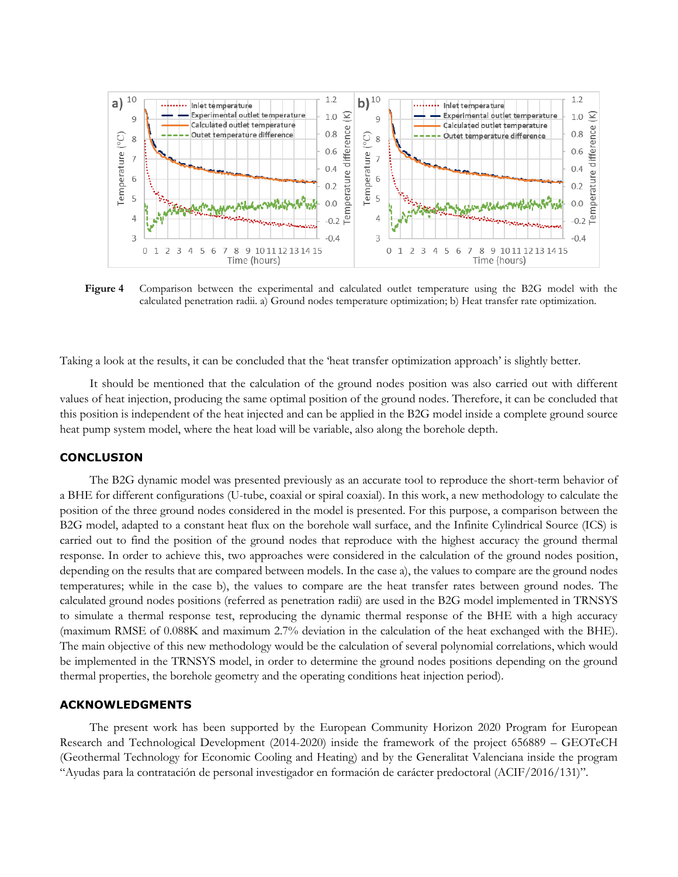

<span id="page-7-0"></span>**Figure 4** Comparison between the experimental and calculated outlet temperature using the B2G model with the calculated penetration radii. a) Ground nodes temperature optimization; b) Heat transfer rate optimization.

Taking a look at the results, it can be concluded that the 'heat transfer optimization approach' is slightly better.

It should be mentioned that the calculation of the ground nodes position was also carried out with different values of heat injection, producing the same optimal position of the ground nodes. Therefore, it can be concluded that this position is independent of the heat injected and can be applied in the B2G model inside a complete ground source heat pump system model, where the heat load will be variable, also along the borehole depth.

## **CONCLUSION**

The B2G dynamic model was presented previously as an accurate tool to reproduce the short-term behavior of a BHE for different configurations (U-tube, coaxial or spiral coaxial). In this work, a new methodology to calculate the position of the three ground nodes considered in the model is presented. For this purpose, a comparison between the B2G model, adapted to a constant heat flux on the borehole wall surface, and the Infinite Cylindrical Source (ICS) is carried out to find the position of the ground nodes that reproduce with the highest accuracy the ground thermal response. In order to achieve this, two approaches were considered in the calculation of the ground nodes position, depending on the results that are compared between models. In the case a), the values to compare are the ground nodes temperatures; while in the case b), the values to compare are the heat transfer rates between ground nodes. The calculated ground nodes positions (referred as penetration radii) are used in the B2G model implemented in TRNSYS to simulate a thermal response test, reproducing the dynamic thermal response of the BHE with a high accuracy (maximum RMSE of 0.088K and maximum 2.7% deviation in the calculation of the heat exchanged with the BHE). The main objective of this new methodology would be the calculation of several polynomial correlations, which would be implemented in the TRNSYS model, in order to determine the ground nodes positions depending on the ground thermal properties, the borehole geometry and the operating conditions heat injection period).

#### **ACKNOWLEDGMENTS**

The present work has been supported by the European Community Horizon 2020 Program for European Research and Technological Development (2014-2020) inside the framework of the project 656889 – GEOTeCH (Geothermal Technology for Economic Cooling and Heating) and by the Generalitat Valenciana inside the program "Ayudas para la contratación de personal investigador en formación de carácter predoctoral (ACIF/2016/131)".